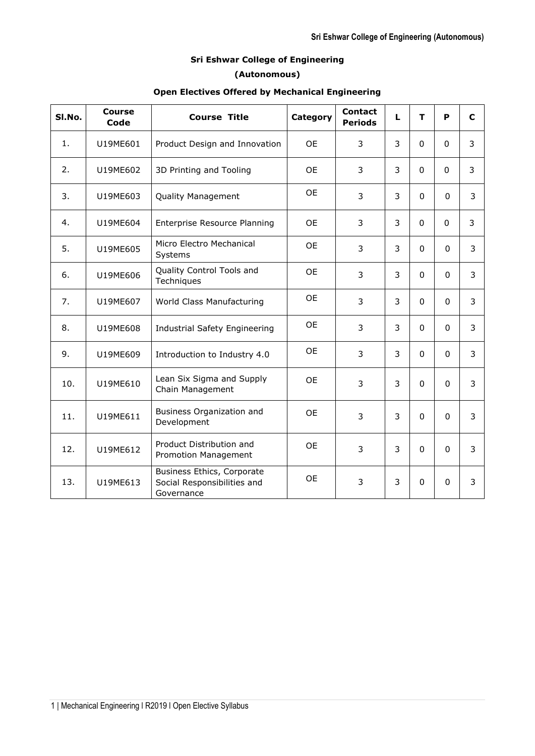# **Sri Eshwar College of Engineering (Autonomous)**

# **Open Electives Offered by Mechanical Engineering**

| SI.No. | <b>Course</b><br>Code | <b>Course Title</b>                                                     | Category  | <b>Contact</b><br><b>Periods</b> | L | T        | P            | $\mathbf{C}$ |
|--------|-----------------------|-------------------------------------------------------------------------|-----------|----------------------------------|---|----------|--------------|--------------|
| 1.     | U19ME601              | Product Design and Innovation                                           | <b>OE</b> | 3                                | 3 | $\Omega$ | $\Omega$     | 3            |
| 2.     | U19ME602              | 3D Printing and Tooling                                                 | <b>OE</b> | 3                                | 3 | $\Omega$ | 0            | 3            |
| 3.     | U19ME603              | <b>Quality Management</b>                                               | <b>OE</b> | 3                                | 3 | 0        | $\Omega$     | 3            |
| 4.     | U19ME604              | Enterprise Resource Planning                                            | <b>OE</b> | 3                                | 3 | 0        | 0            | 3            |
| 5.     | U19ME605              | Micro Electro Mechanical<br>Systems                                     | <b>OE</b> | 3                                | 3 | 0        | $\mathbf{0}$ | 3            |
| 6.     | U19ME606              | Quality Control Tools and<br>Techniques                                 | <b>OE</b> | 3                                | 3 | $\Omega$ | $\mathbf{0}$ | 3            |
| 7.     | U19ME607              | World Class Manufacturing                                               | <b>OE</b> | 3                                | 3 | $\Omega$ | $\mathbf{0}$ | 3            |
| 8.     | U19ME608              | Industrial Safety Engineering                                           | <b>OE</b> | 3                                | 3 | 0        | $\Omega$     | 3            |
| 9.     | U19ME609              | Introduction to Industry 4.0                                            | <b>OE</b> | 3                                | 3 | $\Omega$ | $\mathbf{0}$ | 3            |
| 10.    | U19ME610              | Lean Six Sigma and Supply<br>Chain Management                           | <b>OE</b> | 3                                | 3 | $\Omega$ | $\mathbf{0}$ | 3            |
| 11.    | U19ME611              | Business Organization and<br>Development                                | <b>OE</b> | 3                                | 3 | $\Omega$ | $\mathbf{0}$ | 3            |
| 12.    | U19ME612              | Product Distribution and<br><b>Promotion Management</b>                 | <b>OE</b> | 3                                | 3 | $\Omega$ | 0            | 3            |
| 13.    | U19ME613              | Business Ethics, Corporate<br>Social Responsibilities and<br>Governance | <b>OE</b> | 3                                | 3 | $\Omega$ | $\Omega$     | 3            |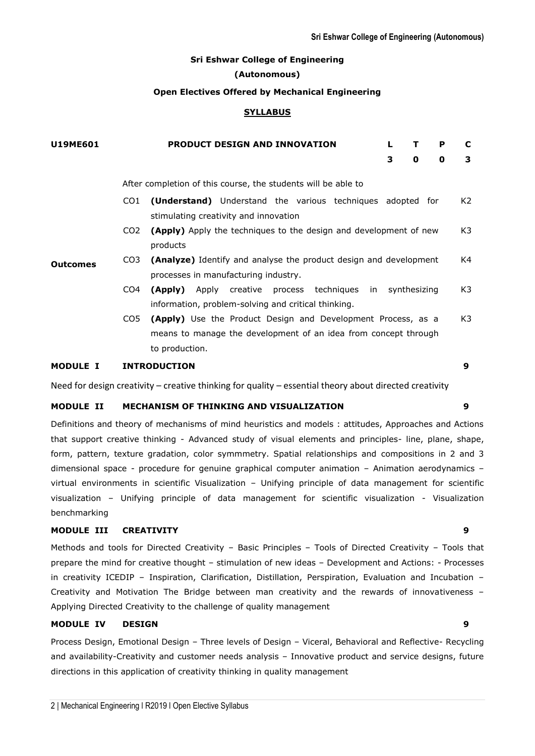# **Sri Eshwar College of Engineering**

# **(Autonomous)**

# **Open Electives Offered by Mechanical Engineering**

# **SYLLABUS**

| <b>U19ME601</b> |                 | <b>PRODUCT DESIGN AND INNOVATION</b>                                                                                                                     |   | т            | P | C              |
|-----------------|-----------------|----------------------------------------------------------------------------------------------------------------------------------------------------------|---|--------------|---|----------------|
|                 |                 |                                                                                                                                                          | 3 | 0            | 0 | 3              |
|                 |                 | After completion of this course, the students will be able to                                                                                            |   |              |   |                |
|                 | CO <sub>1</sub> | <b>(Understand)</b> Understand the various techniques adopted for<br>stimulating creativity and innovation                                               |   |              |   | K <sub>2</sub> |
|                 | CO <sub>2</sub> | (Apply) Apply the techniques to the design and development of new<br>products                                                                            |   |              |   | K3             |
| <b>Outcomes</b> | CO3             | <b>(Analyze)</b> Identify and analyse the product design and development<br>processes in manufacturing industry.                                         |   |              |   | K4             |
|                 | CO <sub>4</sub> | process techniques<br>(Apply)<br>Apply creative<br>in<br>information, problem-solving and critical thinking.                                             |   | synthesizing |   | K3             |
|                 | CO <sub>5</sub> | <b>(Apply)</b> Use the Product Design and Development Process, as a<br>means to manage the development of an idea from concept through<br>to production. |   |              |   | K3             |
| <b>MODULE I</b> |                 | <b>INTRODUCTION</b>                                                                                                                                      |   |              |   | 9              |

Need for design creativity – creative thinking for quality – essential theory about directed creativity

# **MODULE II MECHANISM OF THINKING AND VISUALIZATION 9**

Definitions and theory of mechanisms of mind heuristics and models : attitudes, Approaches and Actions that support creative thinking - Advanced study of visual elements and principles- line, plane, shape, form, pattern, texture gradation, color symmmetry. Spatial relationships and compositions in 2 and 3 dimensional space - procedure for genuine graphical computer animation – Animation aerodynamics – virtual environments in scientific Visualization – Unifying principle of data management for scientific visualization – Unifying principle of data management for scientific visualization - Visualization benchmarking

# **MODULE III CREATIVITY 9**

Methods and tools for Directed Creativity – Basic Principles – Tools of Directed Creativity – Tools that prepare the mind for creative thought – stimulation of new ideas – Development and Actions: - Processes in creativity ICEDIP – Inspiration, Clarification, Distillation, Perspiration, Evaluation and Incubation – Creativity and Motivation The Bridge between man creativity and the rewards of innovativeness – Applying Directed Creativity to the challenge of quality management

# **MODULE IV DESIGN 9**

Process Design, Emotional Design – Three levels of Design – Viceral, Behavioral and Reflective- Recycling and availability-Creativity and customer needs analysis – Innovative product and service designs, future directions in this application of creativity thinking in quality management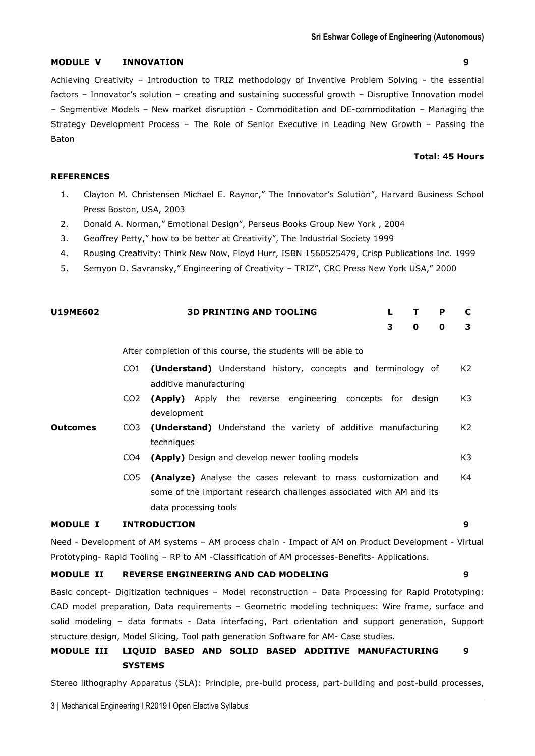### **MODULE V INNOVATION 9**

Achieving Creativity – Introduction to TRIZ methodology of Inventive Problem Solving - the essential factors – Innovator's solution – creating and sustaining successful growth – Disruptive Innovation model – Segmentive Models – New market disruption - Commoditation and DE-commoditation – Managing the Strategy Development Process – The Role of Senior Executive in Leading New Growth – Passing the Baton

## **Total: 45 Hours**

# **REFERENCES**

- 1. Clayton M. Christensen Michael E. Raynor," The Innovator's Solution", Harvard Business School Press Boston, USA, 2003
- 2. Donald A. Norman," Emotional Design", Perseus Books Group New York, 2004
- 3. Geoffrey Petty," how to be better at Creativity", The Industrial Society 1999
- 4. Rousing Creativity: Think New Now, Floyd Hurr, ISBN 1560525479, Crisp Publications Inc. 1999
- 5. Semyon D. Savransky," Engineering of Creativity TRIZ", CRC Press New York USA," 2000

| U19ME602 |                 | <b>3D PRINTING AND TOOLING</b>                                                                                                                                         | 3 | т<br>0 | P<br>0 | C<br>3         |
|----------|-----------------|------------------------------------------------------------------------------------------------------------------------------------------------------------------------|---|--------|--------|----------------|
|          |                 | After completion of this course, the students will be able to                                                                                                          |   |        |        |                |
|          | CO1             | <b>(Understand)</b> Understand history, concepts and terminology of<br>additive manufacturing                                                                          |   |        |        | K2             |
|          | CO <sub>2</sub> | (Apply) Apply the reverse engineering<br>concepts for<br>development                                                                                                   |   | design |        | K3             |
| Outcomes | CO <sub>3</sub> | <b>(Understand)</b> Understand the variety of additive manufacturing<br>techniques                                                                                     |   |        |        | K2             |
|          | CO4             | <b>(Apply)</b> Design and develop newer tooling models                                                                                                                 |   |        |        | K <sub>3</sub> |
|          | CO5             | <b>(Analyze)</b> Analyse the cases relevant to mass customization and<br>some of the important research challenges associated with AM and its<br>data processing tools |   |        |        | K4             |

# **MODULE I INTRODUCTION 9**

Need - Development of AM systems – AM process chain - Impact of AM on Product Development - Virtual Prototyping- Rapid Tooling – RP to AM -Classification of AM processes-Benefits- Applications.

### **MODULE II REVERSE ENGINEERING AND CAD MODELING 9**

Basic concept- Digitization techniques – Model reconstruction – Data Processing for Rapid Prototyping: CAD model preparation, Data requirements – Geometric modeling techniques: Wire frame, surface and solid modeling – data formats - Data interfacing, Part orientation and support generation, Support structure design, Model Slicing, Tool path generation Software for AM- Case studies.

### **MODULE III LIQUID BASED AND SOLID BASED ADDITIVE MANUFACTURING SYSTEMS 9**

Stereo lithography Apparatus (SLA): Principle, pre-build process, part-building and post-build processes,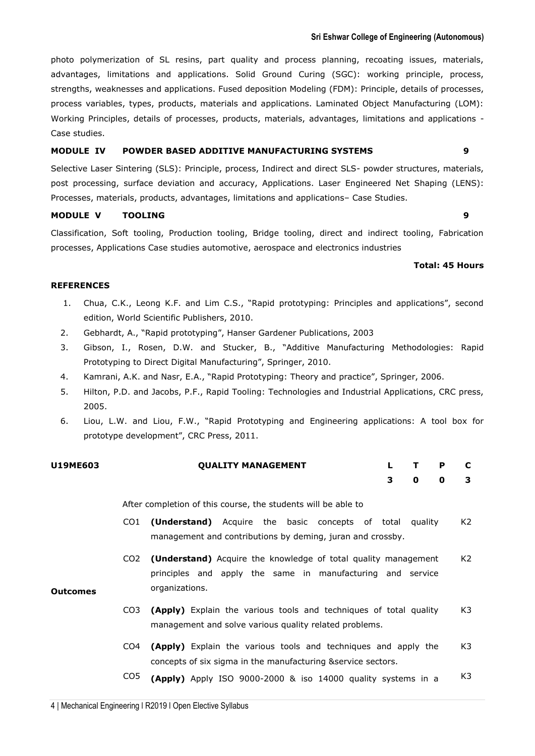# **Sri Eshwar College of Engineering (Autonomous)**

photo polymerization of SL resins, part quality and process planning, recoating issues, materials, advantages, limitations and applications. Solid Ground Curing (SGC): working principle, process, strengths, weaknesses and applications. Fused deposition Modeling (FDM): Principle, details of processes, process variables, types, products, materials and applications. Laminated Object Manufacturing (LOM): Working Principles, details of processes, products, materials, advantages, limitations and applications -Case studies.

# **MODULE IV POWDER BASED ADDITIVE MANUFACTURING SYSTEMS 9**

Selective Laser Sintering (SLS): Principle, process, Indirect and direct SLS- powder structures, materials, post processing, surface deviation and accuracy, Applications. Laser Engineered Net Shaping (LENS): Processes, materials, products, advantages, limitations and applications– Case Studies.

# **MODULE V TOOLING 9**

Classification, Soft tooling, Production tooling, Bridge tooling, direct and indirect tooling, Fabrication processes, Applications Case studies automotive, aerospace and electronics industries

# **Total: 45 Hours**

# **REFERENCES**

- 1. Chua, C.K., Leong K.F. and Lim C.S., "Rapid prototyping: Principles and applications", second edition, World Scientific Publishers, 2010.
- 2. Gebhardt, A., "Rapid prototyping", Hanser Gardener Publications, 2003
- 3. Gibson, I., Rosen, D.W. and Stucker, B., "Additive Manufacturing Methodologies: Rapid Prototyping to Direct Digital Manufacturing", Springer, 2010.
- 4. Kamrani, A.K. and Nasr, E.A., "Rapid Prototyping: Theory and practice", Springer, 2006.
- 5. Hilton, P.D. and Jacobs, P.F., Rapid Tooling: Technologies and Industrial Applications, CRC press, 2005.
- 6. Liou, L.W. and Liou, F.W., "Rapid Prototyping and Engineering applications: A tool box for prototype development", CRC Press, 2011.

| U19ME603 | <b>QUALITY MANAGEMENT</b> |              | <b>P</b> | $\mathbf{C}$            |
|----------|---------------------------|--------------|----------|-------------------------|
|          |                           | $\mathbf{0}$ | 0        | $\overline{\mathbf{3}}$ |

After completion of this course, the students will be able to

- CO1 **(Understand)** Acquire the basic concepts of total quality management and contributions by deming, juran and crossby. K2
- CO2 **(Understand)** Acquire the knowledge of total quality management principles and apply the same in manufacturing and service organizations. K2

# **Outcomes**

- CO3 **(Apply)** Explain the various tools and techniques of total quality management and solve various quality related problems. K3
- CO4 **(Apply)** Explain the various tools and techniques and apply the concepts of six sigma in the manufacturing &service sectors. K3
- $C<sup>O5</sup>$  (Apply) Apply ISO 9000-2000 & iso 14000 quality systems in a  $K<sup>3</sup>$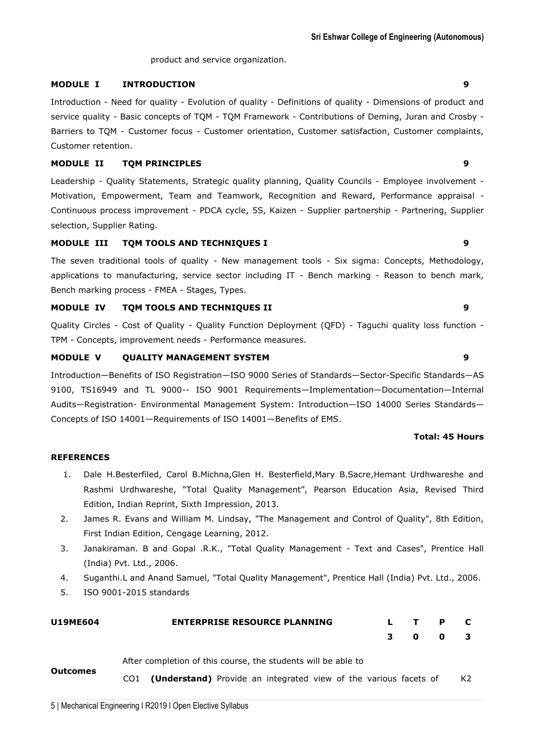product and service organization.

## **MODULE I INTRODUCTION 9**

Introduction - Need for quality - Evolution of quality - Definitions of quality - Dimensions of product and service quality - Basic concepts of TQM - TQM Framework - Contributions of Deming, Juran and Crosby - Barriers to TQM - Customer focus - Customer orientation, Customer satisfaction, Customer complaints, Customer retention.

## **MODULE II TQM PRINCIPLES 9**

Leadership - Quality Statements, Strategic quality planning, Quality Councils - Employee involvement - Motivation, Empowerment, Team and Teamwork, Recognition and Reward, Performance appraisal - Continuous process improvement - PDCA cycle, 5S, Kaizen - Supplier partnership - Partnering, Supplier selection, Supplier Rating.

# **MODULE III TQM TOOLS AND TECHNIQUES I 9**

The seven traditional tools of quality - New management tools - Six sigma: Concepts, Methodology, applications to manufacturing, service sector including IT - Bench marking - Reason to bench mark, Bench marking process - FMEA - Stages, Types.

## **MODULE IV TQM TOOLS AND TECHNIQUES II 9**

Quality Circles - Cost of Quality - Quality Function Deployment (QFD) - Taguchi quality loss function - TPM - Concepts, improvement needs - Performance measures.

### **MODULE V QUALITY MANAGEMENT SYSTEM 9**

Introduction—Benefits of ISO Registration—ISO 9000 Series of Standards—Sector-Specific Standards—AS 9100, TS16949 and TL 9000-- ISO 9001 Requirements—Implementation—Documentation—Internal Audits—Registration- Environmental Management System: Introduction—ISO 14000 Series Standards— Concepts of ISO 14001—Requirements of ISO 14001—Benefits of EMS.

# **Total: 45 Hours**

# **REFERENCES**

**Outcomes**

- 1. Dale H.Besterfiled, Carol B.Michna,Glen H. Besterfield,Mary B.Sacre,Hemant Urdhwareshe and Rashmi Urdhwareshe, "Total Quality Management", Pearson Education Asia, Revised Third Edition, Indian Reprint, Sixth Impression, 2013.
- 2. James R. Evans and William M. Lindsay, "The Management and Control of Quality", 8th Edition, First Indian Edition, Cengage Learning, 2012.
- 3. Janakiraman. B and Gopal .R.K., "Total Quality Management Text and Cases", Prentice Hall (India) Pvt. Ltd., 2006.
- 4. Suganthi.L and Anand Samuel, "Total Quality Management", Prentice Hall (India) Pvt. Ltd., 2006.
- 5. ISO 9001-2015 standards

| U19ME604 | <b>ENTERPRISE RESOURCE PLANNING</b> | L T P |                           | $\mathbf{C}$ |
|----------|-------------------------------------|-------|---------------------------|--------------|
|          |                                     |       | $\mathbf{0}$ $\mathbf{0}$ | $\mathbf{3}$ |

After completion of this course, the students will be able to

CO1 **(Understand)** Provide an integrated view of the various facets of K2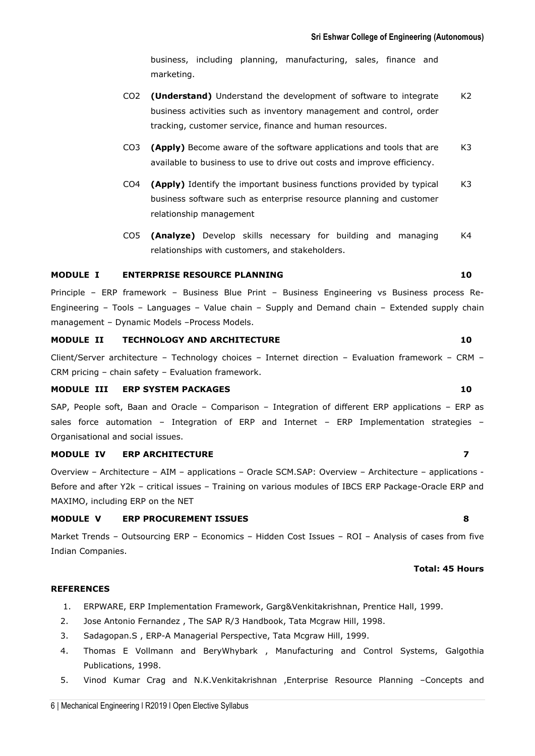business, including planning, manufacturing, sales, finance and marketing.

- CO2 **(Understand)** Understand the development of software to integrate business activities such as inventory management and control, order tracking, customer service, finance and human resources.  $K<sub>2</sub>$
- CO3 **(Apply)** Become aware of the software applications and tools that are available to business to use to drive out costs and improve efficiency. K3
- CO4 **(Apply)** Identify the important business functions provided by typical business software such as enterprise resource planning and customer relationship management K3
- CO5 **(Analyze)** Develop skills necessary for building and managing relationships with customers, and stakeholders. K4

## **MODULE I ENTERPRISE RESOURCE PLANNING 10**

Principle – ERP framework – Business Blue Print – Business Engineering vs Business process Re-Engineering – Tools – Languages – Value chain – Supply and Demand chain – Extended supply chain management – Dynamic Models –Process Models.

## **MODULE II TECHNOLOGY AND ARCHITECTURE 10**

Client/Server architecture – Technology choices – Internet direction – Evaluation framework – CRM – CRM pricing – chain safety – Evaluation framework.

# **MODULE III ERP SYSTEM PACKAGES 10**

SAP, People soft, Baan and Oracle – Comparison – Integration of different ERP applications – ERP as sales force automation – Integration of ERP and Internet – ERP Implementation strategies – Organisational and social issues.

## **MODULE IV ERP ARCHITECTURE 7**

Overview – Architecture – AIM – applications – Oracle SCM.SAP: Overview – Architecture – applications - Before and after Y2k – critical issues – Training on various modules of IBCS ERP Package-Oracle ERP and MAXIMO, including ERP on the NET

## **MODULE V ERP PROCUREMENT ISSUES 8**

Market Trends – Outsourcing ERP – Economics – Hidden Cost Issues – ROI – Analysis of cases from five Indian Companies.

## **Total: 45 Hours**

### **REFERENCES**

- 1. ERPWARE, ERP Implementation Framework, Garg&Venkitakrishnan, Prentice Hall, 1999.
- 2. Jose Antonio Fernandez , The SAP R/3 Handbook, Tata Mcgraw Hill, 1998.
- 3. Sadagopan.S , ERP-A Managerial Perspective, Tata Mcgraw Hill, 1999.
- 4. Thomas E Vollmann and BeryWhybark , Manufacturing and Control Systems, Galgothia Publications, 1998.
- 5. Vinod Kumar Crag and N.K.Venkitakrishnan ,Enterprise Resource Planning –Concepts and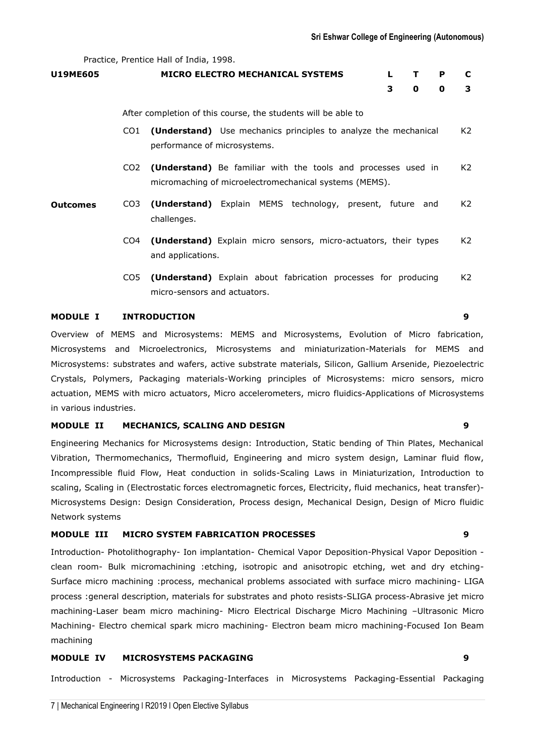Practice, Prentice Hall of India, 1998.

| <b>U19ME605</b> | <b>MICRO ELECTRO MECHANICAL SYSTEMS</b> | L T P |  | $\mathbf{C}$ |
|-----------------|-----------------------------------------|-------|--|--------------|
|                 |                                         | 300   |  | - 3          |

After completion of this course, the students will be able to

- CO1 **(Understand)** Use mechanics principles to analyze the mechanical performance of microsystems. K2
- CO2 **(Understand)** Be familiar with the tools and processes used in micromaching of microelectromechanical systems (MEMS).  $K<sub>2</sub>$
- **Outcomes** CO3 **(Understand)** Explain MEMS technology, present, future and challenges. K2
	- CO4 **(Understand)** Explain micro sensors, micro-actuators, their types and applications. K2
	- CO5 **(Understand)** Explain about fabrication processes for producing micro-sensors and actuators. K2

# **MODULE I INTRODUCTION 9**

Overview of MEMS and Microsystems: MEMS and Microsystems, Evolution of Micro fabrication, Microsystems and Microelectronics, Microsystems and miniaturization-Materials for MEMS and Microsystems: substrates and wafers, active substrate materials, Silicon, Gallium Arsenide, Piezoelectric Crystals, Polymers, Packaging materials-Working principles of Microsystems: micro sensors, micro actuation, MEMS with micro actuators, Micro accelerometers, micro fluidics-Applications of Microsystems in various industries.

# **MODULE II MECHANICS, SCALING AND DESIGN 9**

Engineering Mechanics for Microsystems design: Introduction, Static bending of Thin Plates, Mechanical Vibration, Thermomechanics, Thermofluid, Engineering and micro system design, Laminar fluid flow, Incompressible fluid Flow, Heat conduction in solids-Scaling Laws in Miniaturization, Introduction to scaling, Scaling in (Electrostatic forces electromagnetic forces, Electricity, fluid mechanics, heat transfer)- Microsystems Design: Design Consideration, Process design, Mechanical Design, Design of Micro fluidic Network systems

# **MODULE III MICRO SYSTEM FABRICATION PROCESSES 9**

Introduction- Photolithography- Ion implantation- Chemical Vapor Deposition-Physical Vapor Deposition clean room- Bulk micromachining :etching, isotropic and anisotropic etching, wet and dry etching-Surface micro machining :process, mechanical problems associated with surface micro machining- LIGA process :general description, materials for substrates and photo resists-SLIGA process-Abrasive jet micro machining-Laser beam micro machining- Micro Electrical Discharge Micro Machining –Ultrasonic Micro Machining- Electro chemical spark micro machining- Electron beam micro machining-Focused Ion Beam machining

# **MODULE IV MICROSYSTEMS PACKAGING 9**

Introduction - Microsystems Packaging-Interfaces in Microsystems Packaging-Essential Packaging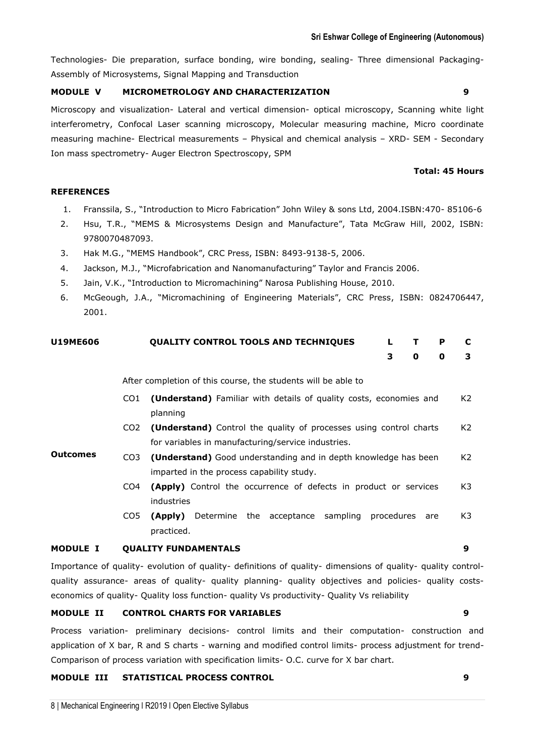Technologies- Die preparation, surface bonding, wire bonding, sealing- Three dimensional Packaging-Assembly of Microsystems, Signal Mapping and Transduction

# **MODULE V MICROMETROLOGY AND CHARACTERIZATION 9**

Microscopy and visualization- Lateral and vertical dimension- optical microscopy, Scanning white light interferometry, Confocal Laser scanning microscopy, Molecular measuring machine, Micro coordinate measuring machine- Electrical measurements – Physical and chemical analysis – XRD- SEM - Secondary Ion mass spectrometry- Auger Electron Spectroscopy, SPM

# **Total: 45 Hours**

# **REFERENCES**

- 1. Franssila, S., "Introduction to Micro Fabrication" John Wiley & sons Ltd, 2004.ISBN:470-85106-6
- 2. Hsu, T.R., "MEMS & Microsystems Design and Manufacture", Tata McGraw Hill, 2002, ISBN: 9780070487093.
- 3. Hak M.G., "MEMS Handbook", CRC Press, ISBN: 8493-9138-5, 2006.
- 4. Jackson, M.J., "Microfabrication and Nanomanufacturing" Taylor and Francis 2006.
- 5. Jain, V.K., "Introduction to Micromachining" Narosa Publishing House, 2010.
- 6. McGeough, J.A., "Micromachining of Engineering Materials", CRC Press, ISBN: 0824706447, 2001.

| <b>U19ME606</b>                                                                                                                                    |                 | <b>QUALITY CONTROL TOOLS AND TECHNIQUES</b>                                                                              | L          | т   | P | C              |
|----------------------------------------------------------------------------------------------------------------------------------------------------|-----------------|--------------------------------------------------------------------------------------------------------------------------|------------|-----|---|----------------|
|                                                                                                                                                    |                 |                                                                                                                          | 3          | 0   | 0 | 3              |
|                                                                                                                                                    |                 | After completion of this course, the students will be able to                                                            |            |     |   |                |
|                                                                                                                                                    | CO1             | (Understand) Familiar with details of quality costs, economies and<br>planning                                           |            |     |   | K <sub>2</sub> |
|                                                                                                                                                    | CO <sub>2</sub> | (Understand) Control the quality of processes using control charts<br>for variables in manufacturing/service industries. |            |     |   | K <sub>2</sub> |
| <b>Outcomes</b><br>(Understand) Good understanding and in depth knowledge has been<br>CO <sub>3</sub><br>imparted in the process capability study. |                 |                                                                                                                          |            |     |   | K <sub>2</sub> |
|                                                                                                                                                    | CO4             | (Apply) Control the occurrence of defects in product or services<br><i>industries</i>                                    |            |     |   | K <sub>3</sub> |
|                                                                                                                                                    | CO5             | <b>(Apply)</b> Determine the acceptance sampling<br>practiced.                                                           | procedures | are |   | K3             |
| <b>MODULE I</b>                                                                                                                                    |                 | <b>QUALITY FUNDAMENTALS</b>                                                                                              |            |     |   | 9              |
|                                                                                                                                                    |                 | Importance of quality- evolution of quality- definitions of quality- dimensions of quality- quality control-             |            |     |   |                |
|                                                                                                                                                    |                 | quality accurance, areas of quality, quality planning, quality objectives and policies, quality sects                    |            |     |   |                |

quality assurance- areas of quality- quality planning- quality objectives and policies- quality costseconomics of quality- Quality loss function- quality Vs productivity- Quality Vs reliability

# **MODULE II CONTROL CHARTS FOR VARIABLES 9**

Process variation- preliminary decisions- control limits and their computation- construction and application of X bar, R and S charts - warning and modified control limits- process adjustment for trend-Comparison of process variation with specification limits- O.C. curve for X bar chart.

# **MODULE III STATISTICAL PROCESS CONTROL 9**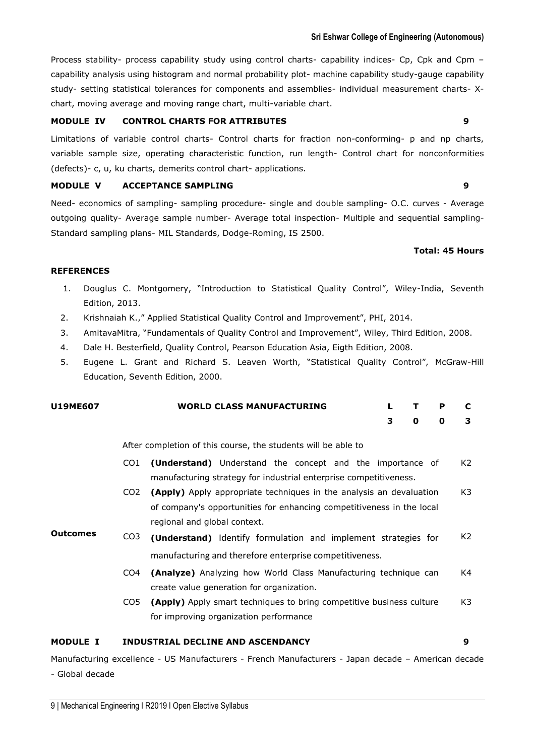Process stability- process capability study using control charts- capability indices- Cp, Cpk and Cpm – capability analysis using histogram and normal probability plot- machine capability study-gauge capability study- setting statistical tolerances for components and assemblies- individual measurement charts- Xchart, moving average and moving range chart, multi-variable chart.

## **MODULE IV CONTROL CHARTS FOR ATTRIBUTES 9**

Limitations of variable control charts- Control charts for fraction non-conforming- p and np charts, variable sample size, operating characteristic function, run length- Control chart for nonconformities (defects)- c, u, ku charts, demerits control chart- applications.

## **MODULE V ACCEPTANCE SAMPLING 9**

Need- economics of sampling- sampling procedure- single and double sampling- O.C. curves - Average outgoing quality- Average sample number- Average total inspection- Multiple and sequential sampling-Standard sampling plans- MIL Standards, Dodge-Roming, IS 2500.

## **Total: 45 Hours**

# **REFERENCES**

- 1. Douglus C. Montgomery, "Introduction to Statistical Quality Control", Wiley-India, Seventh Edition, 2013.
- 2. Krishnaiah K.," Applied Statistical Quality Control and Improvement", PHI, 2014.
- 3. AmitavaMitra, "Fundamentals of Quality Control and Improvement", Wiley, Third Edition, 2008.
- 4. Dale H. Besterfield, Quality Control, Pearson Education Asia, Eigth Edition, 2008.
- 5. Eugene L. Grant and Richard S. Leaven Worth, "Statistical Quality Control", McGraw-Hill Education, Seventh Edition, 2000.

| <b>U19ME607</b> | <b>WORLD CLASS MANUFACTURING</b> |          | <b>P</b> |     |
|-----------------|----------------------------------|----------|----------|-----|
|                 |                                  | $\Omega$ | - റ      | - 3 |

After completion of this course, the students will be able to

- CO1 **(Understand)** Understand the concept and the importance of manufacturing strategy for industrial enterprise competitiveness. K2
- CO2 **(Apply)** Apply appropriate techniques in the analysis an devaluation of company's opportunities for enhancing competitiveness in the local regional and global context. K3
- **Outcomes** CO3 **(Understand)** Identify formulation and implement strategies for manufacturing and therefore enterprise competitiveness. K2
	- CO4 **(Analyze)** Analyzing how World Class Manufacturing technique can create value generation for organization. K4
	- CO5 **(Apply)** Apply smart techniques to bring competitive business culture for improving organization performance K3

## **MODULE I INDUSTRIAL DECLINE AND ASCENDANCY 9**

Manufacturing excellence - US Manufacturers - French Manufacturers - Japan decade – American decade - Global decade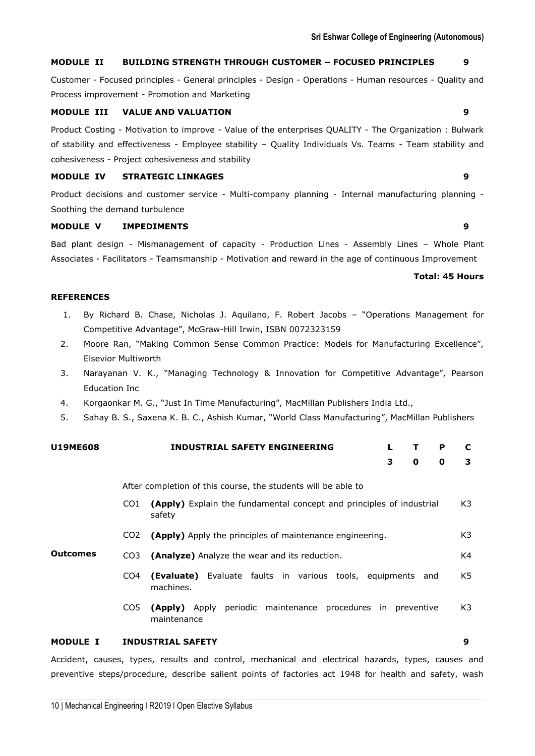# **MODULE II BUILDING STRENGTH THROUGH CUSTOMER – FOCUSED PRINCIPLES 9**

Customer - Focused principles - General principles - Design - Operations - Human resources - Quality and Process improvement - Promotion and Marketing

# **MODULE III VALUE AND VALUATION 9**

Product Costing - Motivation to improve - Value of the enterprises QUALITY - The Organization : Bulwark of stability and effectiveness - Employee stability – Quality Individuals Vs. Teams - Team stability and cohesiveness - Project cohesiveness and stability

# **MODULE IV STRATEGIC LINKAGES 9**

Product decisions and customer service - Multi-company planning - Internal manufacturing planning - Soothing the demand turbulence

# **MODULE V IMPEDIMENTS 9**

Bad plant design - Mismanagement of capacity - Production Lines - Assembly Lines – Whole Plant Associates - Facilitators - Teamsmanship - Motivation and reward in the age of continuous Improvement

# **Total: 45 Hours**

# **REFERENCES**

- 1. By Richard B. Chase, Nicholas J. Aquilano, F. Robert Jacobs "Operations Management for Competitive Advantage", McGraw-Hill Irwin, ISBN 0072323159
- 2. Moore Ran, "Making Common Sense Common Practice: Models for Manufacturing Excellence", Elsevior Multiworth
- 3. Narayanan V. K., "Managing Technology & Innovation for Competitive Advantage", Pearson Education Inc
- 4. Korgaonkar M. G., "Just In Time Manufacturing", MacMillan Publishers India Ltd.,
- 5. Sahay B. S., Saxena K. B. C., Ashish Kumar, "World Class Manufacturing", MacMillan Publishers

| <b>U19ME608</b> |                 | <b>INDUSTRIAL SAFETY ENGINEERING</b>                                                  |   |   | P | C   |
|-----------------|-----------------|---------------------------------------------------------------------------------------|---|---|---|-----|
|                 |                 |                                                                                       | 3 | 0 | 0 | 3   |
|                 |                 | After completion of this course, the students will be able to                         |   |   |   |     |
|                 | CO1             | <b>(Apply)</b> Explain the fundamental concept and principles of industrial<br>safety |   |   |   | K3  |
|                 | CO <sub>2</sub> | (Apply) Apply the principles of maintenance engineering.                              |   |   |   | K3  |
| <b>Outcomes</b> | CO3             | (Analyze) Analyze the wear and its reduction.                                         |   |   |   | K4  |
|                 | CO4             | (Evaluate) Evaluate faults in various tools, equipments and<br>machines.              |   |   |   | K5. |
|                 | CO <sub>5</sub> | <b>(Apply)</b> Apply periodic maintenance procedures in preventive<br>maintenance     |   |   |   | K3  |
| <b>MODULE I</b> |                 | <b>INDUSTRIAL SAFETY</b>                                                              |   |   |   | 9   |

Accident, causes, types, results and control, mechanical and electrical hazards, types, causes and preventive steps/procedure, describe salient points of factories act 1948 for health and safety, wash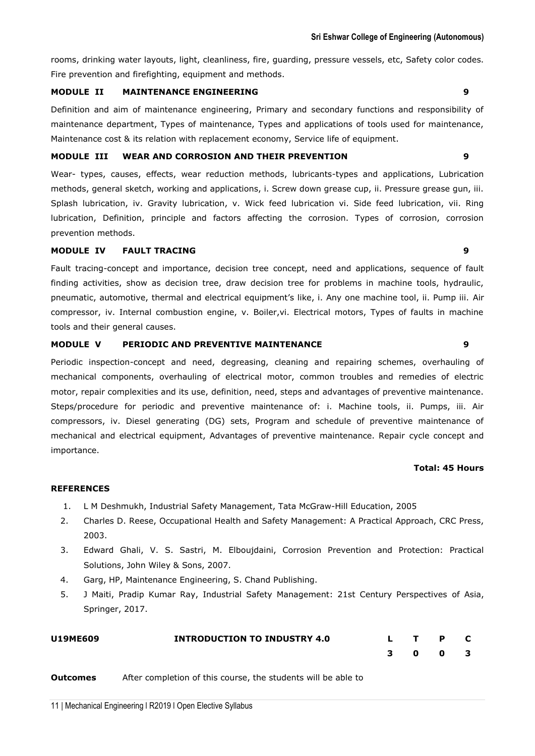rooms, drinking water layouts, light, cleanliness, fire, guarding, pressure vessels, etc, Safety color codes. Fire prevention and firefighting, equipment and methods.

## **MODULE II MAINTENANCE ENGINEERING 9**

Definition and aim of maintenance engineering, Primary and secondary functions and responsibility of maintenance department, Types of maintenance, Types and applications of tools used for maintenance, Maintenance cost & its relation with replacement economy, Service life of equipment.

# **MODULE III WEAR AND CORROSION AND THEIR PREVENTION 9**

Wear- types, causes, effects, wear reduction methods, lubricants-types and applications, Lubrication methods, general sketch, working and applications, i. Screw down grease cup, ii. Pressure grease gun, iii. Splash lubrication, iv. Gravity lubrication, v. Wick feed lubrication vi. Side feed lubrication, vii. Ring lubrication, Definition, principle and factors affecting the corrosion. Types of corrosion, corrosion prevention methods.

# **MODULE IV FAULT TRACING 9**

Fault tracing-concept and importance, decision tree concept, need and applications, sequence of fault finding activities, show as decision tree, draw decision tree for problems in machine tools, hydraulic, pneumatic, automotive, thermal and electrical equipment's like, i. Any one machine tool, ii. Pump iii. Air compressor, iv. Internal combustion engine, v. Boiler,vi. Electrical motors, Types of faults in machine tools and their general causes.

# **MODULE V PERIODIC AND PREVENTIVE MAINTENANCE 9**

Periodic inspection-concept and need, degreasing, cleaning and repairing schemes, overhauling of mechanical components, overhauling of electrical motor, common troubles and remedies of electric motor, repair complexities and its use, definition, need, steps and advantages of preventive maintenance. Steps/procedure for periodic and preventive maintenance of: i. Machine tools, ii. Pumps, iii. Air compressors, iv. Diesel generating (DG) sets, Program and schedule of preventive maintenance of mechanical and electrical equipment, Advantages of preventive maintenance. Repair cycle concept and importance.

## **Total: 45 Hours**

## **REFERENCES**

- 1. L M Deshmukh, Industrial Safety Management, Tata McGraw-Hill Education, 2005
- 2. Charles D. Reese, Occupational Health and Safety Management: A Practical Approach, CRC Press, 2003.
- 3. Edward Ghali, V. S. Sastri, M. Elboujdaini, Corrosion Prevention and Protection: Practical Solutions, John Wiley & Sons, 2007.
- 4. Garg, HP, Maintenance Engineering, S. Chand Publishing.
- 5. J Maiti, Pradip Kumar Ray, Industrial Safety Management: 21st Century Perspectives of Asia, Springer, 2017.

| <b>U19ME609</b> | <b>INTRODUCTION TO INDUSTRY 4.0</b> |   | <b>P</b> | - C |
|-----------------|-------------------------------------|---|----------|-----|
|                 |                                     | 0 | - O      | 3   |

**Outcomes** After completion of this course, the students will be able to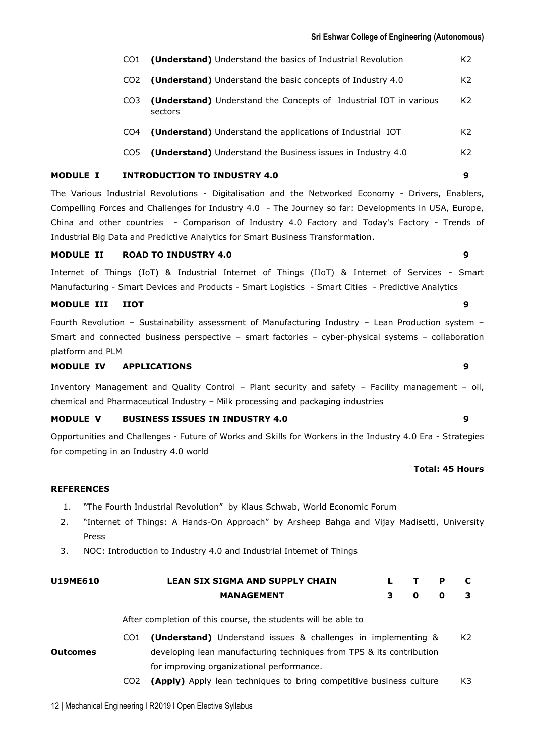- CO1 **(Understand)** Understand the basics of Industrial Revolution K2 CO2 **(Understand)** Understand the basic concepts of Industry 4.0 K2
- CO3 **(Understand)** Understand the Concepts of Industrial IOT in various sectors K2
- CO4 **(Understand)** Understand the applications of Industrial IOT K2
- CO5 **(Understand)** Understand the Business issues in Industry 4.0 K2

## **MODULE I INTRODUCTION TO INDUSTRY 4.0 9**

The Various Industrial Revolutions - Digitalisation and the Networked Economy - Drivers, Enablers, Compelling Forces and Challenges for Industry 4.0 - The Journey so far: Developments in USA, Europe, China and other countries - Comparison of Industry 4.0 Factory and Today's Factory - Trends of Industrial Big Data and Predictive Analytics for Smart Business Transformation.

## **MODULE II ROAD TO INDUSTRY 4.0 9**

Internet of Things (IoT) & Industrial Internet of Things (IIoT) & Internet of Services - Smart Manufacturing - Smart Devices and Products - Smart Logistics - Smart Cities - Predictive Analytics

# **MODULE III IIOT 9**

Fourth Revolution – Sustainability assessment of Manufacturing Industry – Lean Production system – Smart and connected business perspective – smart factories – cyber-physical systems – collaboration platform and PLM

# **MODULE IV APPLICATIONS 9**

Inventory Management and Quality Control – Plant security and safety – Facility management – oil, chemical and Pharmaceutical Industry – Milk processing and packaging industries

# **MODULE V BUSINESS ISSUES IN INDUSTRY 4.0 9**

Opportunities and Challenges - Future of Works and Skills for Workers in the Industry 4.0 Era - Strategies for competing in an Industry 4.0 world

# **Total: 45 Hours**

## **REFERENCES**

- 1. "The Fourth Industrial Revolution" by Klaus Schwab, World Economic Forum
- 2. "Internet of Things: A Hands-On Approach" by Arsheep Bahga and Vijay Madisetti, University Press
- 3. NOC: Introduction to Industry 4.0 and Industrial Internet of Things

| <b>U19ME610</b> | LEAN SIX SIGMA AND SUPPLY CHAIN |  |  |
|-----------------|---------------------------------|--|--|
|                 | MANAGEMENT                      |  |  |

After completion of this course, the students will be able to

- **Outcomes** CO1 **(Understand)** Understand issues & challenges in implementing & developing lean manufacturing techniques from TPS & its contribution for improving organizational performance. K2
	- CO2 **(Apply)** Apply lean techniques to bring competitive business culture K3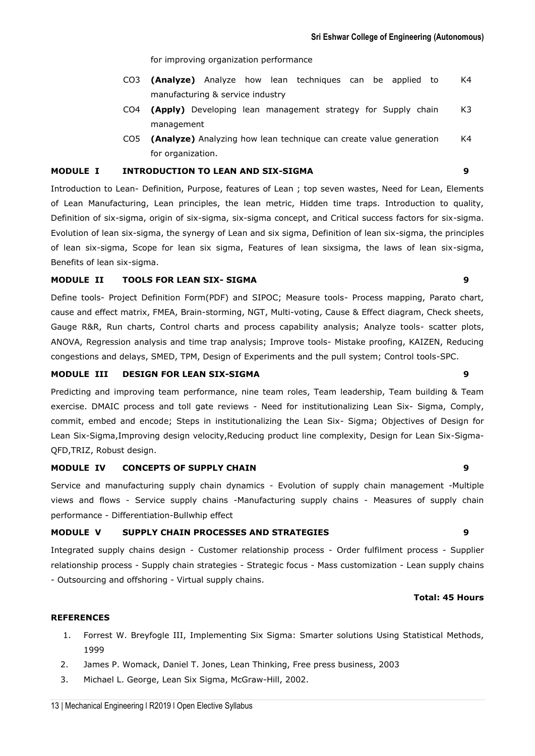for improving organization performance

- CO3 **(Analyze)** Analyze how lean techniques can be applied to manufacturing & service industry K4
- CO4 **(Apply)** Developing lean management strategy for Supply chain management K3
- CO5 **(Analyze)** Analyzing how lean technique can create value generation for organization. K4

## **MODULE I INTRODUCTION TO LEAN AND SIX-SIGMA 9**

Introduction to Lean- Definition, Purpose, features of Lean ; top seven wastes, Need for Lean, Elements of Lean Manufacturing, Lean principles, the lean metric, Hidden time traps. Introduction to quality, Definition of six-sigma, origin of six-sigma, six-sigma concept, and Critical success factors for six-sigma. Evolution of lean six-sigma, the synergy of Lean and six sigma, Definition of lean six-sigma, the principles of lean six-sigma, Scope for lean six sigma, Features of lean sixsigma, the laws of lean six-sigma, Benefits of lean six-sigma.

## **MODULE II TOOLS FOR LEAN SIX- SIGMA 9**

Define tools- Project Definition Form(PDF) and SIPOC; Measure tools- Process mapping, Parato chart, cause and effect matrix, FMEA, Brain-storming, NGT, Multi-voting, Cause & Effect diagram, Check sheets, Gauge R&R, Run charts, Control charts and process capability analysis; Analyze tools- scatter plots, ANOVA, Regression analysis and time trap analysis; Improve tools- Mistake proofing, KAIZEN, Reducing congestions and delays, SMED, TPM, Design of Experiments and the pull system; Control tools-SPC.

## **MODULE III DESIGN FOR LEAN SIX-SIGMA 9**

Predicting and improving team performance, nine team roles, Team leadership, Team building & Team exercise. DMAIC process and toll gate reviews - Need for institutionalizing Lean Six- Sigma, Comply, commit, embed and encode; Steps in institutionalizing the Lean Six- Sigma; Objectives of Design for Lean Six-Sigma,Improving design velocity,Reducing product line complexity, Design for Lean Six-Sigma-QFD,TRIZ, Robust design.

## **MODULE IV CONCEPTS OF SUPPLY CHAIN 9**

Service and manufacturing supply chain dynamics - Evolution of supply chain management -Multiple views and flows - Service supply chains -Manufacturing supply chains - Measures of supply chain performance - Differentiation-Bullwhip effect

## **MODULE V SUPPLY CHAIN PROCESSES AND STRATEGIES 9**

Integrated supply chains design - Customer relationship process - Order fulfilment process - Supplier relationship process - Supply chain strategies - Strategic focus - Mass customization - Lean supply chains - Outsourcing and offshoring - Virtual supply chains.

## **Total: 45 Hours**

## **REFERENCES**

- 1. Forrest W. Breyfogle III, Implementing Six Sigma: Smarter solutions Using Statistical Methods, 1999
- 2. James P. Womack, Daniel T. Jones, Lean Thinking, Free press business, 2003
- 3. Michael L. George, Lean Six Sigma, McGraw-Hill, 2002.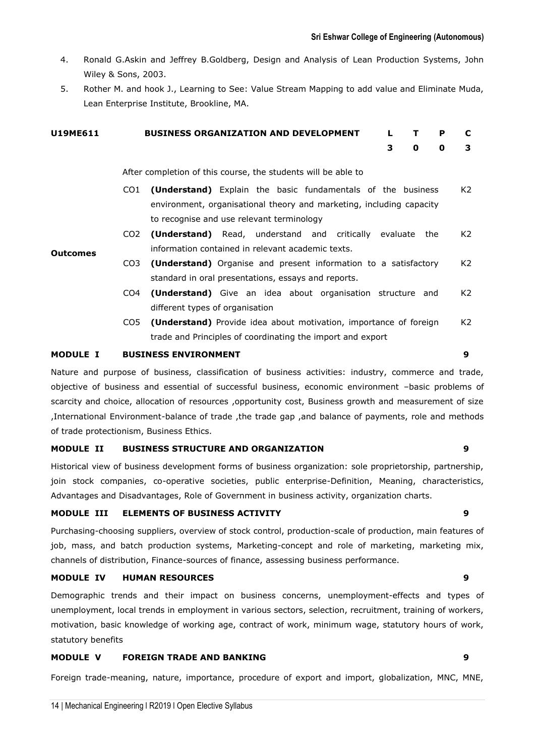- 4. Ronald G.Askin and Jeffrey B.Goldberg, Design and Analysis of Lean Production Systems, John Wiley & Sons, 2003.
- 5. Rother M. and hook J., Learning to See: Value Stream Mapping to add value and Eliminate Muda, Lean Enterprise Institute, Brookline, MA.

| U19ME611        |     | <b>BUSINESS ORGANIZATION AND DEVELOPMENT</b><br>P<br>т               | C  |
|-----------------|-----|----------------------------------------------------------------------|----|
|                 |     | 3<br>0<br>0                                                          | 3  |
|                 |     | After completion of this course, the students will be able to        |    |
|                 | CO1 | <b>(Understand)</b> Explain the basic fundamentals of the business   | K2 |
|                 |     | environment, organisational theory and marketing, including capacity |    |
|                 |     | to recognise and use relevant terminology                            |    |
|                 | CO2 | (Understand) Read, understand and critically<br>evaluate<br>the      | K2 |
| <b>Outcomes</b> |     | information contained in relevant academic texts.                    |    |
|                 | CO3 | (Understand) Organise and present information to a satisfactory      | K2 |
|                 |     | standard in oral presentations, essays and reports.                  |    |
|                 | CO4 | (Understand) Give an idea about organisation structure and           | K2 |
|                 |     | different types of organisation                                      |    |
|                 | CO5 | (Understand) Provide idea about motivation, importance of foreign    | K2 |

# **MODULE I BUSINESS ENVIRONMENT 9**

Nature and purpose of business, classification of business activities: industry, commerce and trade, objective of business and essential of successful business, economic environment –basic problems of scarcity and choice, allocation of resources , opportunity cost, Business growth and measurement of size ,International Environment-balance of trade ,the trade gap ,and balance of payments, role and methods of trade protectionism, Business Ethics.

trade and Principles of coordinating the import and export

# **MODULE II BUSINESS STRUCTURE AND ORGANIZATION 9**

Historical view of business development forms of business organization: sole proprietorship, partnership, join stock companies, co-operative societies, public enterprise-Definition, Meaning, characteristics, Advantages and Disadvantages, Role of Government in business activity, organization charts.

# **MODULE III ELEMENTS OF BUSINESS ACTIVITY 9**

Purchasing-choosing suppliers, overview of stock control, production-scale of production, main features of job, mass, and batch production systems, Marketing-concept and role of marketing, marketing mix, channels of distribution, Finance-sources of finance, assessing business performance.

# **MODULE IV HUMAN RESOURCES 9**

Demographic trends and their impact on business concerns, unemployment-effects and types of unemployment, local trends in employment in various sectors, selection, recruitment, training of workers, motivation, basic knowledge of working age, contract of work, minimum wage, statutory hours of work, statutory benefits

# **MODULE V FOREIGN TRADE AND BANKING 9**

Foreign trade-meaning, nature, importance, procedure of export and import, globalization, MNC, MNE,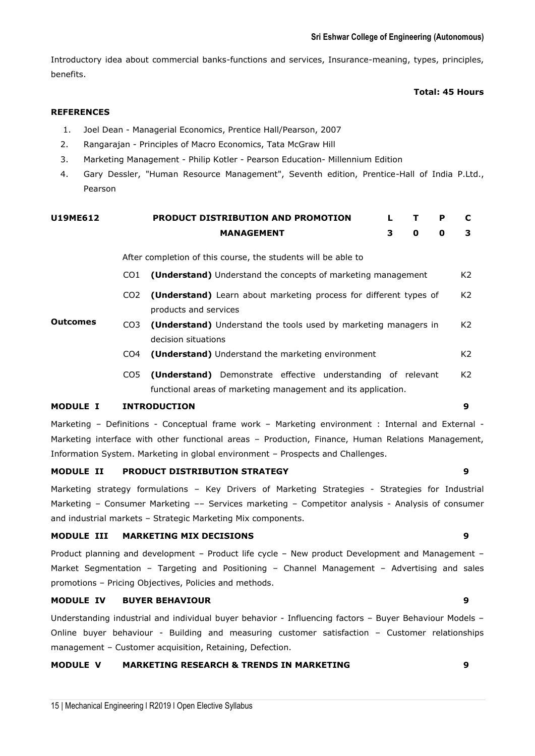Introductory idea about commercial banks-functions and services, Insurance-meaning, types, principles, benefits.

# **Total: 45 Hours**

# **REFERENCES**

- 1. Joel Dean Managerial Economics, Prentice Hall/Pearson, 2007
- 2. Rangarajan Principles of Macro Economics, Tata McGraw Hill
- 3. Marketing Management Philip Kotler Pearson Education- Millennium Edition
- 4. Gary Dessler, "Human Resource Management", Seventh edition, Prentice-Hall of India P.Ltd., Pearson

| U19ME612        |                 | <b>PRODUCT DISTRIBUTION AND PROMOTION</b>                                                                                        |   |   | P | C  |
|-----------------|-----------------|----------------------------------------------------------------------------------------------------------------------------------|---|---|---|----|
|                 |                 | <b>MANAGEMENT</b>                                                                                                                | 3 | 0 | 0 | 3  |
|                 |                 | After completion of this course, the students will be able to                                                                    |   |   |   |    |
|                 | CO1             | K <sub>2</sub><br>(Understand) Understand the concepts of marketing management                                                   |   |   |   |    |
| <b>Outcomes</b> | CO <sub>2</sub> | (Understand) Learn about marketing process for different types of<br>products and services                                       |   |   |   |    |
|                 | CO <sub>3</sub> | <b>(Understand)</b> Understand the tools used by marketing managers in<br>decision situations                                    |   |   |   |    |
|                 | CO4             | (Understand) Understand the marketing environment                                                                                |   |   |   | K2 |
|                 | CO <sub>5</sub> | (Understand)<br>Demonstrate effective understanding of relevant<br>functional areas of marketing management and its application. |   |   |   | K2 |

# **MODULE I INTRODUCTION 9**

Marketing - Definitions - Conceptual frame work - Marketing environment : Internal and External -Marketing interface with other functional areas – Production, Finance, Human Relations Management, Information System. Marketing in global environment – Prospects and Challenges.

# **MODULE II PRODUCT DISTRIBUTION STRATEGY 9**

Marketing strategy formulations - Key Drivers of Marketing Strategies - Strategies for Industrial Marketing – Consumer Marketing –– Services marketing – Competitor analysis - Analysis of consumer and industrial markets – Strategic Marketing Mix components.

# **MODULE III MARKETING MIX DECISIONS 9**

Product planning and development – Product life cycle – New product Development and Management – Market Segmentation – Targeting and Positioning – Channel Management – Advertising and sales promotions – Pricing Objectives, Policies and methods.

# **MODULE IV BUYER BEHAVIOUR 9**

Understanding industrial and individual buyer behavior - Influencing factors – Buyer Behaviour Models – Online buyer behaviour - Building and measuring customer satisfaction – Customer relationships management – Customer acquisition, Retaining, Defection.

# **MODULE V MARKETING RESEARCH & TRENDS IN MARKETING 9**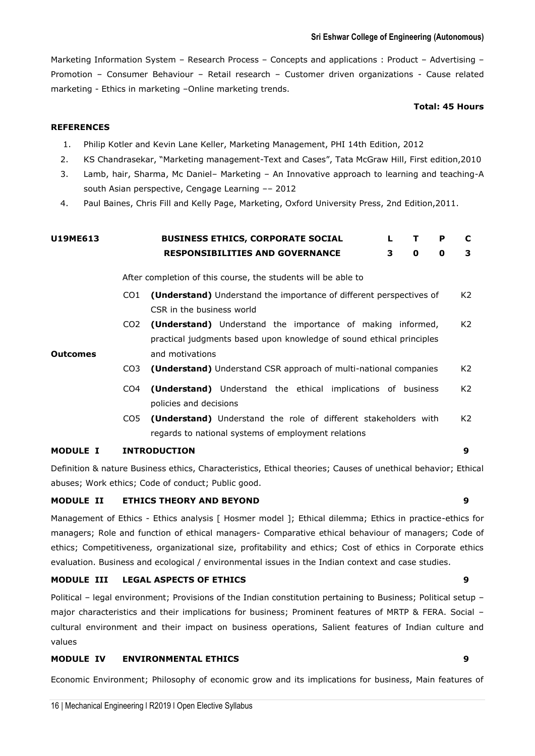Marketing Information System – Research Process – Concepts and applications : Product – Advertising – Promotion – Consumer Behaviour – Retail research – Customer driven organizations - Cause related marketing - Ethics in marketing –Online marketing trends.

## **Total: 45 Hours**

# **REFERENCES**

- 1. Philip Kotler and Kevin Lane Keller, Marketing Management, PHI 14th Edition, 2012
- 2. KS Chandrasekar, "Marketing management-Text and Cases", Tata McGraw Hill, First edition, 2010
- 3. Lamb, hair, Sharma, Mc Daniel– Marketing An Innovative approach to learning and teaching-A south Asian perspective, Cengage Learning –– 2012
- 4. Paul Baines, Chris Fill and Kelly Page, Marketing, Oxford University Press, 2nd Edition,2011.

| U19ME613        |                                                                                                                                                         | <b>BUSINESS ETHICS, CORPORATE SOCIAL</b><br>P<br>т                      | C              |  |  |  |
|-----------------|---------------------------------------------------------------------------------------------------------------------------------------------------------|-------------------------------------------------------------------------|----------------|--|--|--|
|                 |                                                                                                                                                         | 3<br><b>RESPONSIBILITIES AND GOVERNANCE</b><br>0<br>0                   | 3              |  |  |  |
|                 | After completion of this course, the students will be able to<br>(Understand) Understand the importance of different perspectives of<br>CO <sub>1</sub> |                                                                         |                |  |  |  |
|                 |                                                                                                                                                         |                                                                         |                |  |  |  |
|                 |                                                                                                                                                         | CSR in the business world                                               |                |  |  |  |
|                 | CO <sub>2</sub>                                                                                                                                         | <b>(Understand)</b> Understand the importance of making informed,       | K2             |  |  |  |
|                 |                                                                                                                                                         | practical judgments based upon knowledge of sound ethical principles    |                |  |  |  |
| <b>Outcomes</b> |                                                                                                                                                         | and motivations                                                         |                |  |  |  |
|                 | CO3                                                                                                                                                     | <b>(Understand)</b> Understand CSR approach of multi-national companies | K <sub>2</sub> |  |  |  |
|                 | CO <sub>4</sub>                                                                                                                                         | ( <b>Understand</b> ) Understand the ethical implications of business   | K <sub>2</sub> |  |  |  |
|                 |                                                                                                                                                         | policies and decisions                                                  |                |  |  |  |
|                 | CO5                                                                                                                                                     | <b>(Understand)</b> Understand the role of different stakeholders with  | K <sub>2</sub> |  |  |  |
|                 |                                                                                                                                                         | regards to national systems of employment relations                     |                |  |  |  |
| <b>MODULE I</b> |                                                                                                                                                         | <b>INTRODUCTION</b>                                                     | 9              |  |  |  |

Definition & nature Business ethics, Characteristics, Ethical theories; Causes of unethical behavior; Ethical abuses; Work ethics; Code of conduct; Public good.

# **MODULE II ETHICS THEORY AND BEYOND 9**

Management of Ethics - Ethics analysis [ Hosmer model ]; Ethical dilemma; Ethics in practice-ethics for managers; Role and function of ethical managers- Comparative ethical behaviour of managers; Code of ethics; Competitiveness, organizational size, profitability and ethics; Cost of ethics in Corporate ethics evaluation. Business and ecological / environmental issues in the Indian context and case studies.

# **MODULE III LEGAL ASPECTS OF ETHICS 9**

Political – legal environment; Provisions of the Indian constitution pertaining to Business; Political setup – major characteristics and their implications for business; Prominent features of MRTP & FERA. Social – cultural environment and their impact on business operations, Salient features of Indian culture and values

# **MODULE IV ENVIRONMENTAL ETHICS 9**

Economic Environment; Philosophy of economic grow and its implications for business, Main features of